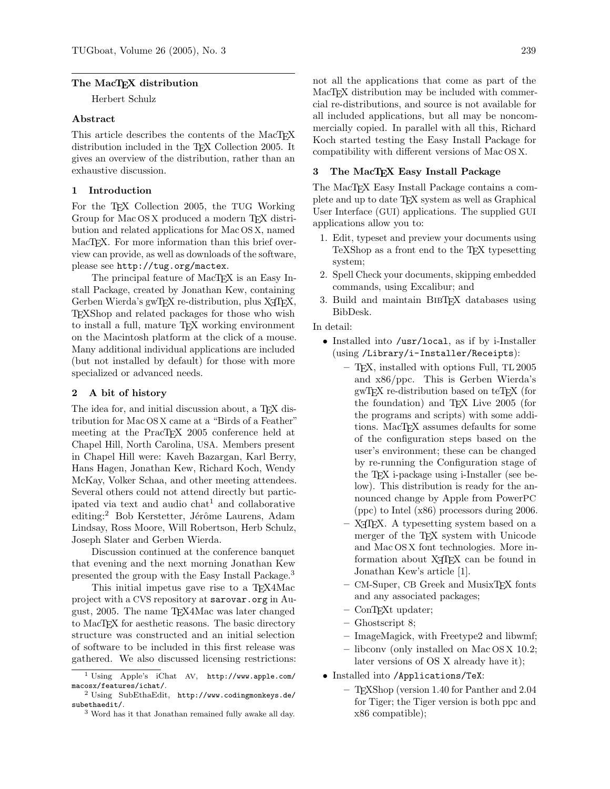### The MacT<sub>F</sub>X distribution

Herbert Schulz

### Abstract

This article describes the contents of the MacT<sub>E</sub>X distribution included in the T<sub>EX</sub> Collection 2005. It gives an overview of the distribution, rather than an exhaustive discussion.

# 1 Introduction

For the TEX Collection 2005, the TUG Working Group for Mac OS X produced a modern TEX distribution and related applications for Mac OS X, named MacT<sub>EX</sub>. For more information than this brief overview can provide, as well as downloads of the software, please see http://tug.org/mactex.

The principal feature of MacT<sub>E</sub>X is an Easy Install Package, created by Jonathan Kew, containing Gerben Wierda's gwTFX re-distribution, plus X<sub>T</sub>TFX, TEXShop and related packages for those who wish to install a full, mature TEX working environment on the Macintosh platform at the click of a mouse. Many additional individual applications are included (but not installed by default) for those with more specialized or advanced needs.

## 2 A bit of history

The idea for, and initial discussion about, a T<sub>E</sub>X distribution for Mac OS X came at a "Birds of a Feather" meeting at the PracT<sub>E</sub>X 2005 conference held at Chapel Hill, North Carolina, USA. Members present in Chapel Hill were: Kaveh Bazargan, Karl Berry, Hans Hagen, Jonathan Kew, Richard Koch, Wendy McKay, Volker Schaa, and other meeting attendees. Several others could not attend directly but participated via text and audio  $\text{chat}^1$  and  $\text{collaborative}$ editing:<sup>2</sup> Bob Kerstetter, Jérôme Laurens, Adam Lindsay, Ross Moore, Will Robertson, Herb Schulz, Joseph Slater and Gerben Wierda.

Discussion continued at the conference banquet that evening and the next morning Jonathan Kew presented the group with the Easy Install Package.<sup>3</sup>

This initial impetus gave rise to a T<sub>E</sub>X4Mac project with a CVS repository at sarovar.org in August, 2005. The name TEX4Mac was later changed to MacTEX for aesthetic reasons. The basic directory structure was constructed and an initial selection of software to be included in this first release was gathered. We also discussed licensing restrictions: not all the applications that come as part of the MacT<sub>E</sub>X distribution may be included with commercial re-distributions, and source is not available for all included applications, but all may be noncommercially copied. In parallel with all this, Richard Koch started testing the Easy Install Package for compatibility with different versions of Mac OS X.

## 3 The MacTEX Easy Install Package

The MacT<sub>EX</sub> Easy Install Package contains a complete and up to date TEX system as well as Graphical User Interface (GUI) applications. The supplied GUI applications allow you to:

- 1. Edit, typeset and preview your documents using TeXShop as a front end to the TEX typesetting system;
- 2. Spell Check your documents, skipping embedded commands, using Excalibur; and
- 3. Build and maintain BibTEX databases using BibDesk.

## In detail:

- Installed into /usr/local, as if by i-Installer (using /Library/i-Installer/Receipts):
	- TEX, installed with options Full, TL 2005 and x86/ppc. This is Gerben Wierda's gwTEX re-distribution based on teTEX (for the foundation) and TEX Live 2005 (for the programs and scripts) with some additions. MacTEX assumes defaults for some of the configuration steps based on the user's environment; these can be changed by re-running the Configuration stage of the TEX i-package using i-Installer (see below). This distribution is ready for the announced change by Apple from PowerPC (ppc) to Intel (x86) processors during 2006.
	- $-$  X<sub>T</sub>T<sub>F</sub>X. A typesetting system based on a merger of the TEX system with Unicode and Mac OS X font technologies. More information about X<sub>H</sub>T<sub>F</sub>X can be found in Jonathan Kew's article [1].
	- CM-Super, CB Greek and MusixTEX fonts and any associated packages;
	- ConTEXt updater;
	- Ghostscript 8;
	- ImageMagick, with Freetype2 and libwmf;
	- libconv (only installed on Mac OS X 10.2; later versions of OS X already have it);
- Installed into /Applications/TeX:
	- TEXShop (version 1.40 for Panther and 2.04 for Tiger; the Tiger version is both ppc and x86 compatible);

<sup>1</sup> Using Apple's iChat AV, http://www.apple.com/ macosx/features/ichat/.

<sup>2</sup> Using SubEthaEdit, http://www.codingmonkeys.de/ subethaedit/.

<sup>3</sup> Word has it that Jonathan remained fully awake all day.